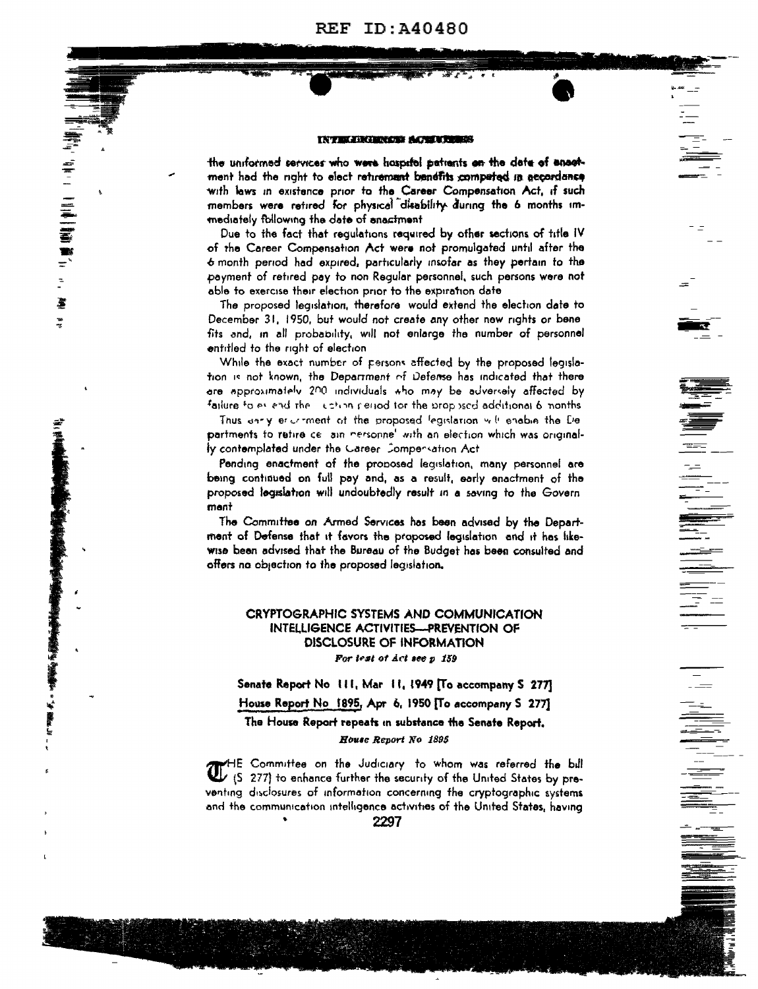**REF ID: A40480** 

### **INTELLIGENCE ACERTICS**

the uniformed services who were haspitel patients on the date of encotment had the nght to elect returement benefits competed in accordance with laws in existence prior to the Career Compensation Act, if such members were retired for physical disability during the 6 months immediately following the date of enactment

F

 $\frac{1}{2}$ 

New York Street, In

k.

Due to the fact that requiations required by other sections of title IV of the Career Compensation Act were not promulgated until after the 6 month period had expired, particularly insofar as they pertain to the payment of retired pay to non Requiar personnel, such persons were not able to exercise their election prior to the expiration date

The proposed legislation, therefore would extend the election date to December 31, 1950, but would not create any other new rights or bene fits and, in all probability, will not enlarge the number of personnel entitled to the right of election

While the exact number of persons affected by the proposed legislation is not known, the Department of Defense has indicated that there are approximately 200 individuals tho may be adversely affected by failure to as and the  $\pm$  chan period for the proposed additional 6 nonths

Thus anny encomment of the proposed legislation will enable the De partments to retire ce ain nersonne' with an election which was originally contemplated under the Gareer Compersation Act

Pending enactment of the proposed legislation, many personnel are being continued on full pay and, as a result, early enactment of the proposed legislation will undoubtedly result in a saving to the Govern ment

The Committee on Armed Services has been advised by the Department of Defense that it favors the proposed legislation and it has likewise been advised that the Bureau of the Budget has been consulted and offers no objection to the proposed legislation,

# CRYPTOGRAPHIC SYSTEMS AND COMMUNICATION **INTELLIGENCE ACTIVITIES-PREVENTION OF** DISCLOSURE OF INFORMATION For lest of Act see p 159

Senate Report No. 111, Mar. 11, 1949 [To accompany S. 277] House Report No. 1895, Apr. 6, 1950 [To accompany S 277]

The House Report repeats in substance the Senate Report. House Report No 1895

HE Committee on the Judiciary to whom was referred the bill (S 277) to enhance further the security of the United States by preventing disclosures of information concerning the cryptographic systems and the communication intelligence activities of the United States, having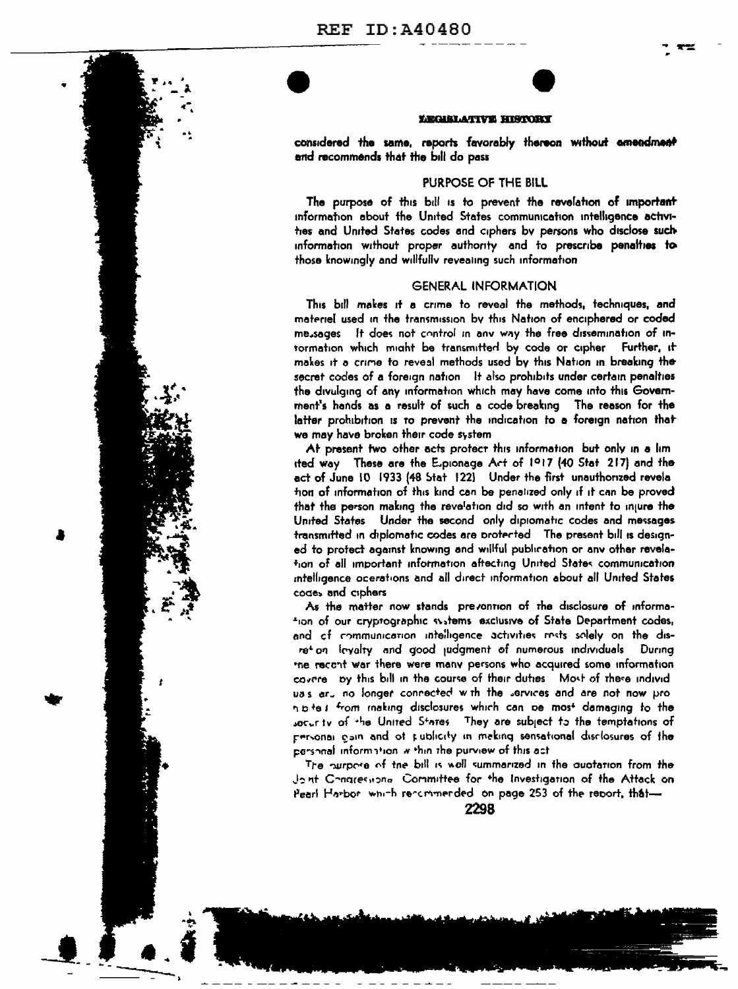

### LEGISLATIVE HISTORY

considered the same, reports favorably thereon without amendment and recommends that the bill do pass

## PURPOSE OF THE BILL

The purpose of this bill is to prevent the revelation of important information about the United States communication intelligence activities and United States codes and ciphers by persons who disclose such information without proper authority and to prescribe penalties to those knowingly and willfully reveating such information

### **GENERAL INFORMATION**

This bill makes it a crime to reveal the methods, techniques, and materiel used in the transmission by this Nation of enciphered or coded me sages it does not control in any way the free dissemination of intormation which might be transmitted by code or cipher Further, it makes it a crime to reveal methods used by this Nation in breaking the secret codes of a foreign nation it also prohibits under certain penalties the divulging of any information which may have come into this Government's hands as a result of such a code breaking The reason for the latter prohibition is to prevent the indication to a foreign nation that we may have broken their code system

At present two other acts protect this information but only in a lim ited way These are the Explorage Art of 1917 (40 Stat 217) and the act of June 10 1933 (48 Stat 122) Under the first unauthorized revela hon of information of this kind can be penalized only if it can be proved that the person making the revelation did so with an intent to injure the United States Under the second only dipiomatic codes and messages transmitted in diplomatic codes are protected. The present bill is designed to protect against knowing and willful publication or any other revelation of all important information aftecting United States communication intelligence ocerations and all direct information about all United States codes and ciphers

As the matter now stands prevontion of the disclosure of information of our cryptographic systems exclusive of State Department codes, and of communication intelligence activities rests solely on the disretion levalty and good judgment of numerous individuals. During the recont war there were many persons who acquired some information cavere by this bill in the course of their duties. Most of these individuss aru no longer connected with the services and are not now pron p te s from making disclosures which can be most damaging to the socurity of the United States. They are subject to the temptations of personal gain and of publicity in meking sensational disclosures of the personal information within the purview of this act

The nurbose of the bill is well summerized in the quotation from the dont Congressional Committee for the Investigation of the Attack on Pearl Harbor which recommerded on page 253 of the report, that-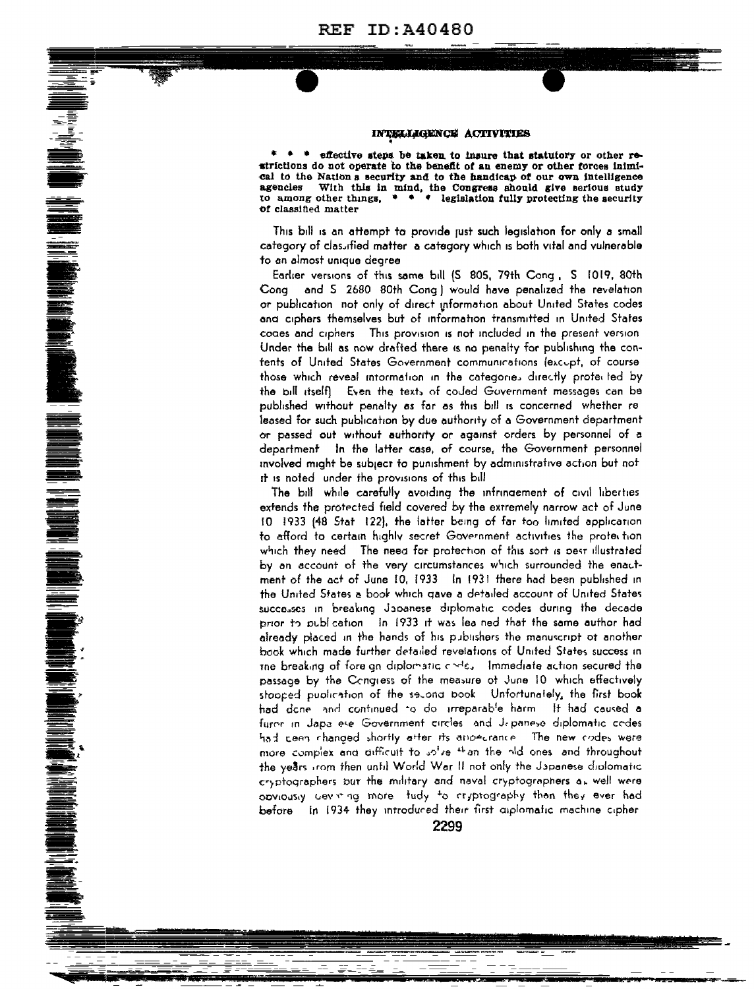#### INTELLIGENCE ACTIVITIES

effective steps be taken to insure that statutory or other reatrictions do not operate to the benefit of an enemy or other forces inimical to the Nations security and to the handicap of our own intelligence agencies With this in mind, the Congress should give serious study to among other things.  $\bullet \bullet \bullet \bullet$  legislation fully protecting the security of classified matter

This bill is an attempt to provide just such legislation for only a small category of classified matter a category which is both vital and vulnerable to an almost unique degree

Earlier versions of this same bill (S 805, 79th Cong, S 1019, 80th Cong and 5 2680 80th Cong) would have penalized the revelation or publication not only of direct information about United States codes and ciphers themselves but of information transmitted in United States codes and ciphers. This provision is not included in the present version Under the bill as now drafted there is no penalty for publishing the contents of United States Government communications (excupt, of course those which reveal intormation in the categories directly protected by the bill itselft. Even the texts of coded Government messages can be published without penalty as far as this bill is concerned whether re leased for such publication by due authority of a Government department or passed out without authority or against orders by personnel of a department in the latter case, of course, the Government personnel involved might be subject to punishment by administrative action but not it is noted under the provisions of this bill

**RADIO SOLONIA SE PROTECTO DE LA PROVISIONE DE LA PROTECTO DE LA PROTECTO DE LA PROTECTO DE LA PROTECTO DE LA PROTECTO DE LA PROTECTO DE LA PROTECTO DE LA PROTECTO DE LA PROTECTO DE LA PROTECTO DE LA PROTECTO DE LA PROTECT** 

The bill while carefully avoiding the infringement of civil liberties extends the protected field covered by the extremely narrow act of June 10 1933 (48 Stat 122), the latter being of far too limited application to afford to certain highly secret Government activities the protection which they need. The need for protection of this sort is pest illustrated by an account of the very circumstances which surrounded the enactment of the act of June 10, 1933 In 1931 there had been published in the United States a book which gave a detailed account of United States successes in breaking Japanese diplomatic codes during the decade prior to publication. In 1933 it was lea ned that the same author had already placed in the hands of his publishers the manuscript ot another book which made further detailed revelations of United States success in the breaking of fore an diplomatic chile. Immediate action secured the passage by the Congress of the measure of June 10 which effectively stapped publication of the second book. Unfortunately, the first book had done and continued to do irreparable harm. It had caused a furor in Japa ese Government circles and Japanese diplomatic codes had ceen changed shortly after its ampecrance. The new codes were more complex and difficult to intro the the hid ones and throughout the years from then until World War II not only the Japanese diplomatic cryptographers but the military and naval cryptographers as well were opviously cevining more tudy to cryptography than they ever had before in 1934 they introduced their first aiplomatic machine cipher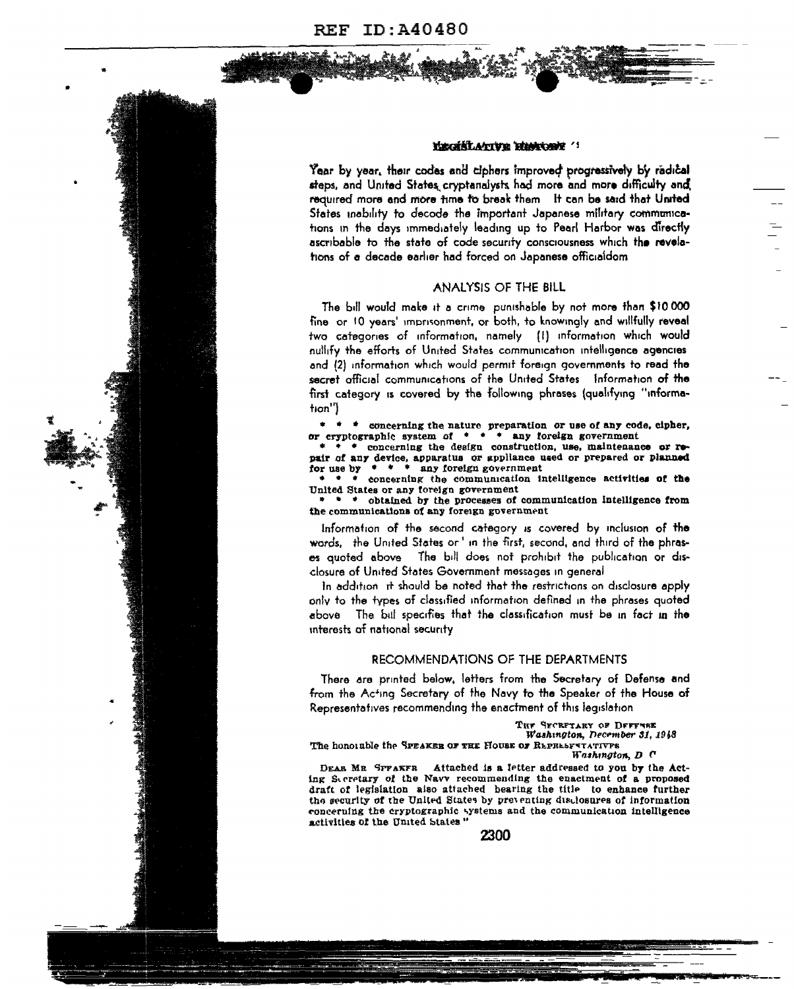



#### KECKKLATIVE HIMCOBE

Year by year, their codes and ciphers improved progressively by radical steps, and United States cryptanalysts had more and more difficulty and required more and more time to break them It can be said that United States mability to decode the important Japanese military communications in the days immediately leading up to Pearl Harbor was directly ascribable to the state of code security consciousness which the revelations of a decade earlier had forced on Japanese officialdom

#### ANALYSIS OF THE BILL

The bill would make it a crime punishable by not more than \$10,000 fine or 10 years' imprisonment, or both, to knowingly and willfully reveal two categories of information, namely (I) information which would nullify the efforts of United States communication intelligence agencies and (2) information which would permit foreign governments to read the secret afficial communications of the United States Information of the first category is covered by the following phrases (qualifying "information")

\* \* \* concerning the nature preparation or use of any code, cipher,<br>or cryptographic system of \* \* \* any foreign government

\* concerning the design construction, use, maintenance or repair of any device, apparatus or appliance used or prepared or planned<br>for use by  $* * *$  any foreign government<br> $* * *$  concerning the communication intelligence activities of the

United States or any foreign government

\* \* obtained by the processes of communication intelligence from the communications of any foreign government

information of the second category is covered by inclusion of the words, the United States or' in the first, second, and third of the phrases quoted above The bill does not prohibit the publication or disclosure of United States Government messages in general

In addition it should be noted that the restrictions on disclosure apply only to the types of classified information defined in the phrases quoted above The bill specifies that the classification must be in fact in the interests of national security

#### RECOMMENDATIONS OF THE DEPARTMENTS

There are printed below, letters from the Secretary of Defense and from the Acting Secretary of the Navy to the Speaker of the House of Representatives recommending the enactment of this legislation

> THE SECRETARY OF DEFFUSE Washington, December 31, 1948

The honorable the SPEAKER OF THE HOUSE OF REPRESENTATIVES Washington, D C

Attached is a fetter addressed to you by the Act-DEAR MR SPFAKFR ing Secretary of the Navy recommending the enactment of a proposed draft of legislation also attached bearing the title to enhance further the security of the United States by preventing disclosures of information concerning the cryptographic systems and the communication intelligence activities of the United States"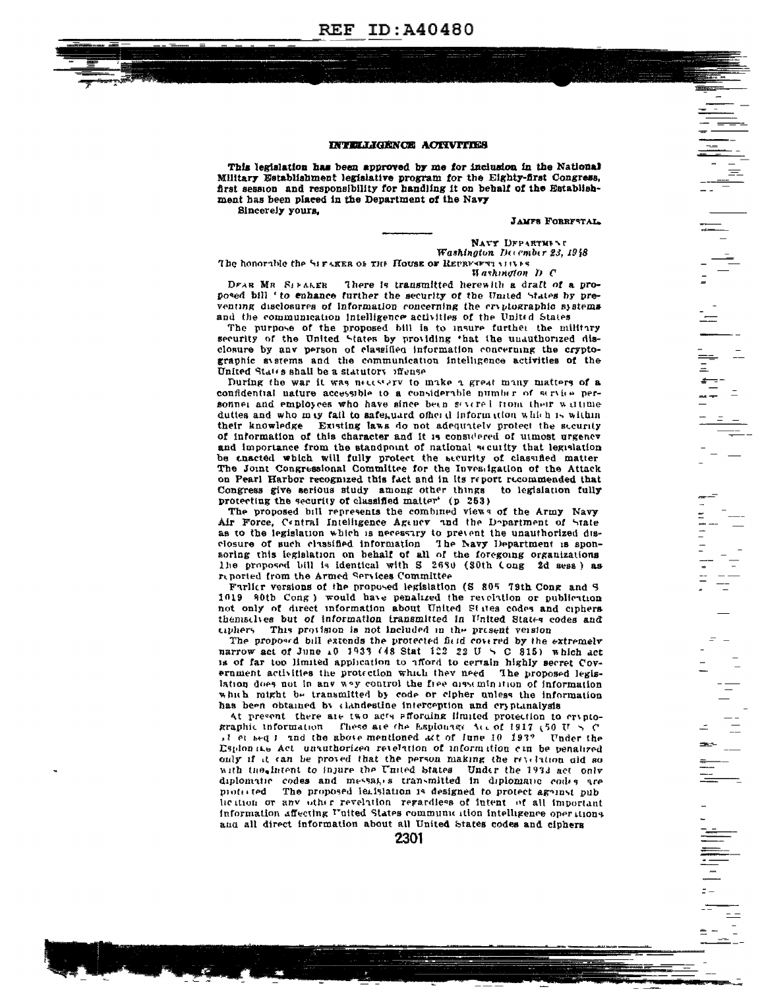

#### INTELLIGENCE ACTIVITIES

This legislation has been approved by me for inclusion in the National Military Establishment legislative program for the Eighty-first Congress, first session and responsibility for handling it on behalf of the Establishment has been placed in the Department of the Navy Sincerely yours,

**JAMFS FORRFSTAL** 

NAVY DFPARTMENT Washington December 23, 1948

The honorable the SIFARER OF THE HOUSE OF REPRESENT MILES **Hashington** D C

There is transmitted herewith a draft of a pro-DEAR MR SIFALER posed bill ' to enhance further the security of the United States by preventing disclosures of information concerning the cryptographic systems and the communication intelligence activities of the United States

The purpose of the proposed bill is to insure furthet the military security of the United States by providing that the unauthorized disclosure by any person of classified information concerning the cryptographic avstems and the communication intelligence activities of the United States shall be a statutory iffense

During the war it was necessary to make a great many matters of a confidential nature accessible to a considerable number of service personner and employees who have since been severed from their writime duttes and who may fail to safeguard ofher d information which is within their knowledge Existing laws do not adequately protect the security of information of this character and it is considered of utmost urgency and importance from the standpoint of national seculity that legislation be enacted which will fully protect the security of classified matter The Joint Congressional Committee for the Investigation of the Attack on Pearl Harbor recognized this fact and in its report recommended that Congress give serious study among other things to legislation fully protecting the security of classified matter<sup>\*</sup> (p 253)

The proposed bill represents the combined views of the Army Navy Air Force, Central Intelligence Agency and the Department of State as to the legislation which is necessary to prevent the unauthorized disclosure of such classified information The Navy Department is sponsoring this legislation on behalf of all of the foregoing organizations The proposed bill is identical with S 2630 (S0th Cong 2d sess) as reported from the Armed Services Committee

Furlier versions of the proposed legislation (S 805 79th Cong and S 1019 80th Cong) would have penalized the revelation or publication not only of direct information about United States codes and ciphers themselves but of information transmitted in United States codes and ciphers. This provision is not included in the present version

The proposed bill extends the protected field covered by the extremely narrow act of June 10 1933 (48 Stat 122 22 U  $\leq$  C 815) which act is of far too limited application to afford to certain highly secret Covernment activities the protection which they need. The proposed legislation does not in any way control the free orssemination of information which might be transmitted by code or cipher unless the information has been obtained by clandestine interception and cryptanalysis

At present there are two acts efforming ilmited protection to cryptographic information. These are the Esploinge Acc of 1917 (50 U  $>$  C il et sequind the above mentioned act of June 10 193? Under the Esplonate Act unauthorized retelation of information can be penalized only if it can be proved that the person making the revelation old so with the intent to injure the United States Under the 1933 act only diplomatic codes and messages transmitted in diplomatic codes are motorred The proposed leafsiation is designed to protect ageinst oub heition or any other revelation regardless of intent of all important information affecting United States communication intelligence operations and all direct information about all United States codes and ciphers